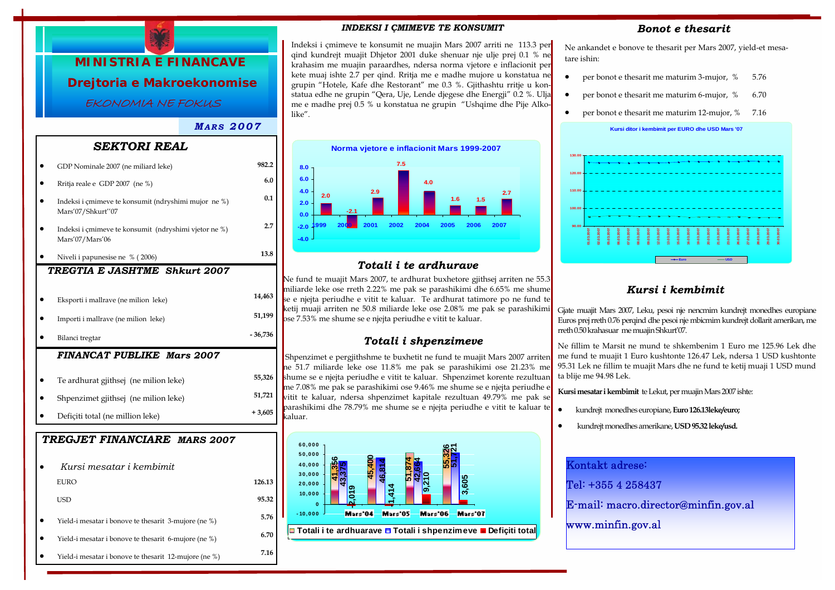

# *SEKTORI REAL*

| GDP Nominale 2007 (ne miliard leke)                                       | 982.2          |
|---------------------------------------------------------------------------|----------------|
| Rritja reale e GDP 2007 (ne %)                                            | 6.0            |
| Indeksi i çmimeve te konsumit (ndryshimi mujor ne %)<br>Mars'07/Shkurt"07 | 0.1            |
| Indeksi i çmimeve te konsumit (ndryshimi vjetor ne %)<br>Mars'07/Mars'06  | 2.7            |
| Niveli i papunesise ne % (2006)                                           | 13.8           |
| TREGTIA E JASHTME Shkurt 2007                                             |                |
| Eksporti i mallrave (ne milion leke)                                      | 14,463         |
| Importi i mallrave (ne milion leke)                                       | 51,199         |
| Bilanci tregtar                                                           | $-36,736$      |
| <b>FINANCAT PUBLIKE Mars 2007</b>                                         |                |
| Te ardhurat gjithsej (ne milion leke)                                     | 55,326         |
| Shpenzimet gjithsej (ne milion leke)                                      |                |
|                                                                           | 51,721         |
| Deficiti total (ne million leke)                                          | $+3,605$       |
| TREGJET FINANCIARE MARS 2007<br>Kursi mesatar i kembimit                  |                |
| <b>EURO</b>                                                               |                |
| <b>USD</b>                                                                | 95.32          |
| Yield-i mesatar i bonove te thesarit 3-mujore (ne %)                      | 126.13<br>5.76 |

• Yield-i mesatar i bonove te thesarit 12-mujore (ne %) **7.16** 

#### *INDEKSI I ÇMIMEVE TE KONSUMIT*

Indeksi i çmimeve te konsumit ne muajin Mars 2007 arriti ne 113.3 per qind kundrejt muajit Dhjetor 2001 duke shenuar nje ulje prej 0.1 % ne krahasim me muajin paraardhes, ndersa norma vjetore e inflacionit per kete muaj ishte 2.7 per qind. Rritja me e madhe mujore u konstatua ne grupin "Hotele, Kafe dhe Restorant" me 0.3 %. Gjithashtu rritje u konstatua edhe ne grupin "Qera, Uje, Lende djegese dhe Energji" 0.2 %. Ulja me e madhe prej 0.5 % u konstatua ne grupin "Ushqime dhe Pije Alkolike".



# *Totali i te ardhurave*

Ne fund te muajit Mars 2007, te ardhurat buxhetore gjithsej arriten ne 55.3 miliarde leke ose rreth 2.22% me pak se parashikimi dhe 6.65% me shume se e njejta periudhe e vitit te kaluar. Te ardhurat tatimore po ne fund te ketij muaji arriten ne 50.8 miliarde leke ose 2.08% me pak se parashikimi ose 7.53% me shume se e njejta periudhe e vitit te kaluar.

## *Totali i shpenzimeve*

Shpenzimet e pergjithshme te buxhetit ne fund te muajit Mars 2007 arriten ne 51.7 miliarde leke ose 11.8% me pak se parashikimi ose 21.23% me shume se e njejta periudhe e vitit te kaluar. Shpenzimet korente rezultuan me 7.08% me pak se parashikimi ose 9.46% me shume se e njejta periudhe e vitit te kaluar, ndersa shpenzimet kapitale rezultuan 49.79% me pak se parashikimi dhe 78.79% me shume se e njejta periudhe e vitit te kaluar te kaluar.



### *Bonot e thesarit*

Ne ankandet e bonove te thesarit per Mars 2007, yield-et mesatare ishin:

- per bonot e thesarit me maturim 3-mujor,  $%$  5.76
- per bonot e thesarit me maturim 6-mujor, % 6.70
- per bonot e thesarit me maturim 12-mujor, % 7.16



# *Kursi i kembimit*

Gjate muajit Mars 2007, Leku, pesoi nje nencmim kundrejt monedhes europiane Euros prej rreth 0.76 perqind dhe pesoi nje mbicmim kundrejt dollarit amerikan, me rreth 0.50 krahasuar me muajin Shkurt'07.

Ne fillim te Marsit ne mund te shkembenim 1 Euro me 125.96 Lek dhe me fund te muajit 1 Euro kushtonte 126.47 Lek, ndersa 1 USD kushtonte 95.31 Lek ne fillim te muajit Mars dhe ne fund te ketij muaji 1 USD mund ta blije me 94.98 Lek.

**Kursi mesatar i kembimit** te Lekut, per muajin Mars 2007 ishte:

- kundrejt monedhes europiane, **Euro 126.13leke/euro;**
- kundrejt monedhes amerikane, **USD 95.32 leke/usd.**

| Kontakt adrese:                      |
|--------------------------------------|
| Tel: +355 4 258437                   |
| E-mail: macro.director@minfin.gov.al |
| www.minfin.gov.al                    |